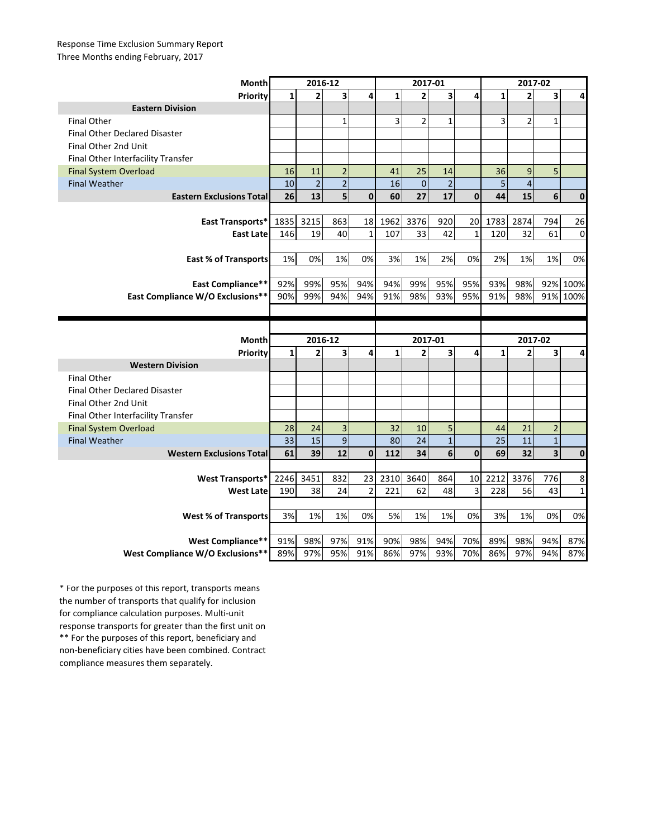## Response Time Exclusion Summary Report Three Months ending February, 2017

| Month                                | 2016-12      |                |                         |                         | 2017-01      |                |                |              | 2017-02      |                         |                         |              |
|--------------------------------------|--------------|----------------|-------------------------|-------------------------|--------------|----------------|----------------|--------------|--------------|-------------------------|-------------------------|--------------|
| Priority                             | 1            | $\overline{2}$ | $\overline{\mathbf{3}}$ | 4                       | $\mathbf{1}$ | $\overline{2}$ | 3              | 4            | $\mathbf{1}$ | $\overline{2}$          | 3                       | 4            |
| <b>Eastern Division</b>              |              |                |                         |                         |              |                |                |              |              |                         |                         |              |
| <b>Final Other</b>                   |              |                | $\mathbf{1}$            |                         | 3            | $\overline{2}$ | $\mathbf{1}$   |              | 3            | $\overline{2}$          | $\mathbf{1}$            |              |
| <b>Final Other Declared Disaster</b> |              |                |                         |                         |              |                |                |              |              |                         |                         |              |
| Final Other 2nd Unit                 |              |                |                         |                         |              |                |                |              |              |                         |                         |              |
| Final Other Interfacility Transfer   |              |                |                         |                         |              |                |                |              |              |                         |                         |              |
| <b>Final System Overload</b>         | 16           | 11             | $\overline{2}$          |                         | 41           | 25             | 14             |              | 36           | 9                       | 5                       |              |
| <b>Final Weather</b>                 | 10           | $\overline{2}$ | $\overline{2}$          |                         | 16           | $\overline{0}$ | $\overline{2}$ |              | 5            | $\overline{\mathbf{4}}$ |                         |              |
| <b>Eastern Exclusions Total</b>      | 26           | 13             | $5\overline{5}$         | $\mathbf{0}$            | 60           | 27             | 17             | $\mathbf{0}$ | 44           | 15                      | 6                       | $\mathbf 0$  |
|                                      |              |                |                         |                         |              |                |                |              |              |                         |                         |              |
| East Transports*                     | 1835         | 3215           | 863                     | 18                      | 1962         | 3376           | 920            | 20           | 1783         | 2874                    | 794                     | 26           |
| <b>East Late</b>                     | 146          | 19             | 40                      | $\mathbf{1}$            | 107          | 33             | 42             | $\mathbf 1$  | 120          | 32                      | 61                      | $\mathbf 0$  |
|                                      |              |                |                         |                         |              |                |                |              |              |                         |                         |              |
| <b>East % of Transports</b>          | 1%           | 0%             | 1%                      | 0%                      | 3%           | 1%             | 2%             | 0%           | 2%           | 1%                      | 1%                      | 0%           |
|                                      |              |                |                         |                         |              |                |                |              |              |                         |                         |              |
| East Compliance**                    | 92%          | 99%            | 95%                     | 94%                     | 94%          | 99%            | 95%            | 95%          | 93%          | 98%                     | 92%                     | 100%         |
| East Compliance W/O Exclusions**     | 90%          | 99%            | 94%                     | 94%                     | 91%          | 98%            | 93%            | 95%          | 91%          | 98%                     | 91%                     | 100%         |
|                                      |              |                |                         |                         |              |                |                |              |              |                         |                         |              |
|                                      |              |                |                         |                         |              |                |                |              |              |                         |                         |              |
|                                      |              |                |                         |                         |              |                |                |              |              |                         |                         |              |
| Month                                |              | 2016-12        |                         |                         |              | 2017-01        |                |              |              | 2017-02                 |                         |              |
| Priority                             | $\mathbf{1}$ | $\overline{2}$ | 3                       | $\overline{\mathbf{A}}$ | $\mathbf{1}$ | $\overline{2}$ | 3              | 4            | $\mathbf{1}$ | $\overline{2}$          | 3                       | 4            |
| <b>Western Division</b>              |              |                |                         |                         |              |                |                |              |              |                         |                         |              |
| <b>Final Other</b>                   |              |                |                         |                         |              |                |                |              |              |                         |                         |              |
| <b>Final Other Declared Disaster</b> |              |                |                         |                         |              |                |                |              |              |                         |                         |              |
| Final Other 2nd Unit                 |              |                |                         |                         |              |                |                |              |              |                         |                         |              |
| Final Other Interfacility Transfer   |              |                |                         |                         |              |                |                |              |              |                         |                         |              |
| <b>Final System Overload</b>         | 28           | 24             | 3                       |                         | 32           | 10             | 5              |              | 44           | 21                      | $\overline{2}$          |              |
| <b>Final Weather</b>                 | 33           | 15             | $\mathsf g$             |                         | 80           | 24             | $\mathbf{1}$   |              | 25           | 11                      | $\overline{1}$          |              |
| <b>Western Exclusions Total</b>      | 61           | 39             | 12                      | $\mathbf 0$             | 112          | 34             | $\overline{6}$ | $\mathbf 0$  | 69           | 32                      | $\overline{\mathbf{3}}$ | $\mathbf{0}$ |
|                                      |              |                |                         |                         |              |                |                |              |              |                         |                         |              |
| <b>West Transports*</b>              | 2246         | 3451           | 832                     | 23                      | 2310         | 3640           | 864            | 10           | 2212         | 3376                    | 776                     | 8            |
| <b>West Late</b>                     | 190          | 38             | 24                      | $\overline{2}$          | 221          | 62             | 48             | 3            | 228          | 56                      | 43                      | $\mathbf{1}$ |
|                                      |              |                |                         |                         |              |                |                |              |              |                         |                         |              |
| <b>West % of Transports</b>          | 3%           | 1%             | 1%                      | 0%                      | 5%           | 1%             | 1%             | 0%           | 3%           | 1%                      | 0%                      | 0%           |
|                                      |              |                |                         |                         |              |                |                |              |              |                         |                         |              |
| West Compliance**                    | 91%          | 98%            | 97%                     | 91%                     | 90%          | 98%            | 94%            | 70%          | 89%          | 98%                     | 94%                     | 87%          |

\*\* For the purposes of this report, beneficiary and non-beneficiary cities have been combined. Contract compliance measures them separately. \* For the purposes of this report, transports means the number of transports that qualify for inclusion for compliance calculation purposes. Multi-unit response transports for greater than the first unit on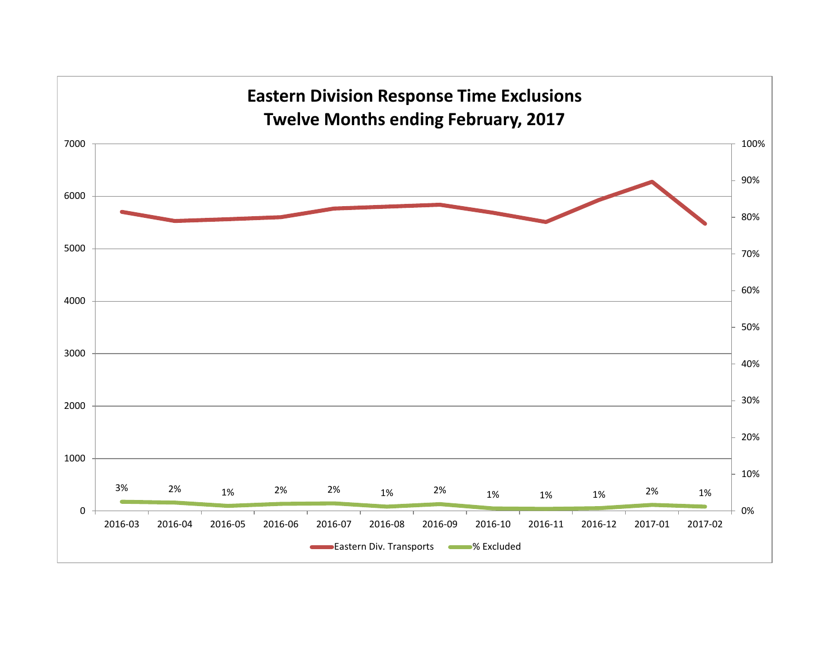